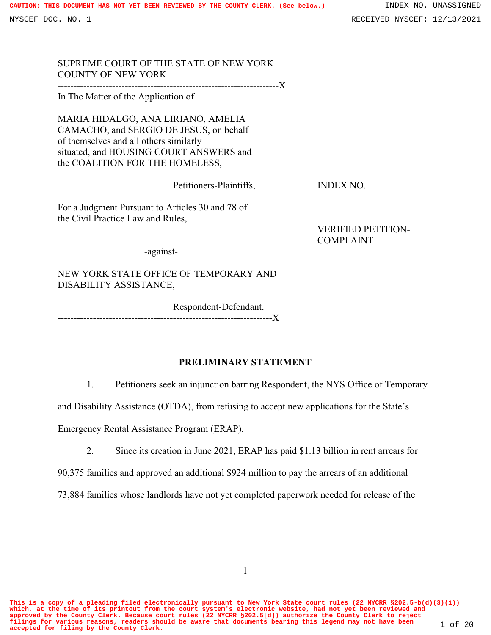SUPREME COURT OF THE STATE OF NEW YORK COUNTY OF NEW YORK

---------------------------------------------------------------------X

In The Matter of the Application of

MARIA HIDALGO, ANA LIRIANO, AMELIA CAMACHO, and SERGIO DE JESUS, on behalf of themselves and all others similarly situated, and HOUSING COURT ANSWERS and the COALITION FOR THE HOMELESS,

Petitioners-Plaintiffs, INDEX NO.

For a Judgment Pursuant to Articles 30 and 78 of the Civil Practice Law and Rules,

> VERIFIED PETITION-COMPLAINT

-against-

NEW YORK STATE OFFICE OF TEMPORARY AND DISABILITY ASSISTANCE,

Respondent-Defendant.

-------------------------------------------------------------------X

## **PRELIMINARY STATEMENT**

1. Petitioners seek an injunction barring Respondent, the NYS Office of Temporary

and Disability Assistance (OTDA), from refusing to accept new applications for the State's

Emergency Rental Assistance Program (ERAP).

2. Since its creation in June 2021, ERAP has paid \$1.13 billion in rent arrears for

90,375 families and approved an additional \$924 million to pay the arrears of an additional

73,884 families whose landlords have not yet completed paperwork needed for release of the

**This is a copy of a pleading filed electronically pursuant to New York State court rules (22 NYCRR §202.5-b(d)(3)(i)) which, at the time of its printout from the court system's electronic website, had not yet been reviewed and** approved by the County Clerk. Because court rules (22 NYCRR §202.5[d]) authorize the County Clerk to reject<br>filings for various reasons, readers should be aware that documents bearing this legend may not have been  $1$  of 2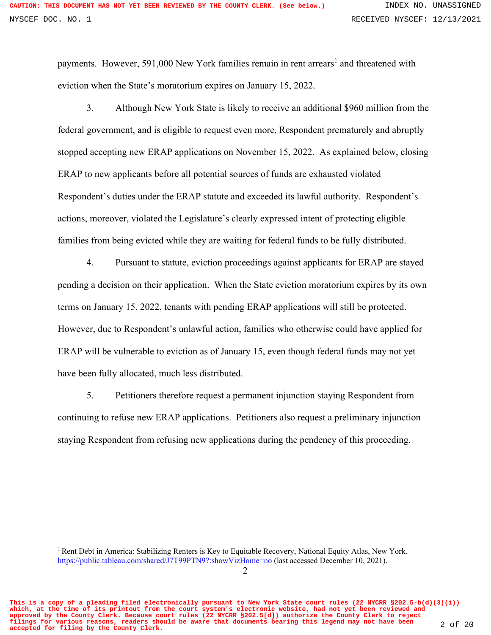payments. However, 591,000 New York families remain in rent arrears<sup>1</sup> and threatened with eviction when the State's moratorium expires on January 15, 2022.

3. Although New York State is likely to receive an additional \$960 million from the federal government, and is eligible to request even more, Respondent prematurely and abruptly stopped accepting new ERAP applications on November 15, 2022. As explained below, closing ERAP to new applicants before all potential sources of funds are exhausted violated Respondent's duties under the ERAP statute and exceeded its lawful authority. Respondent's actions, moreover, violated the Legislature's clearly expressed intent of protecting eligible families from being evicted while they are waiting for federal funds to be fully distributed.

4. Pursuant to statute, eviction proceedings against applicants for ERAP are stayed pending a decision on their application. When the State eviction moratorium expires by its own terms on January 15, 2022, tenants with pending ERAP applications will still be protected. However, due to Respondent's unlawful action, families who otherwise could have applied for ERAP will be vulnerable to eviction as of January 15, even though federal funds may not yet have been fully allocated, much less distributed.

5. Petitioners therefore request a permanent injunction staying Respondent from continuing to refuse new ERAP applications. Petitioners also request a preliminary injunction staying Respondent from refusing new applications during the pendency of this proceeding.

**This is a copy of a pleading filed electronically pursuant to New York State court rules (22 NYCRR §202.5-b(d)(3)(i)) which, at the time of its printout from the court system's electronic website, had not yet been reviewed and approved by the County Clerk. Because court rules (22 NYCRR §202.5[d]) authorize the County Clerk to reject filings for various reasons, readers should be aware that documents bearing this legend may not have been accepted for filing by the County Clerk.** 2 of 20

<sup>&</sup>lt;sup>1</sup> Rent Debt in America: Stabilizing Renters is Key to Equitable Recovery, National Equity Atlas, New York. https://public.tableau.com/shared/J7T99PTN9?:showVizHome=no (last accessed December 10, 2021).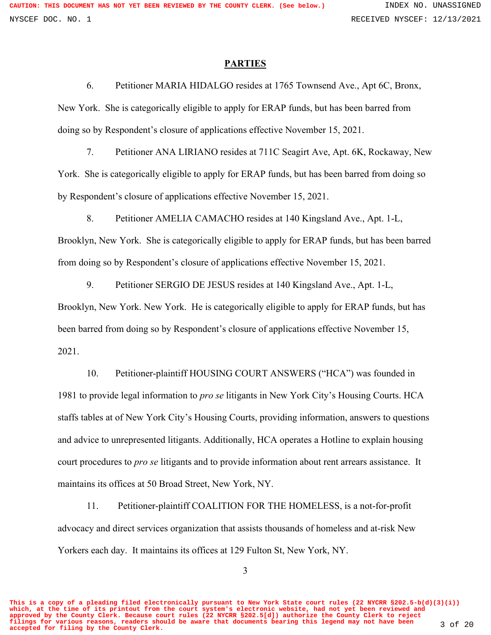#### **PARTIES**

6. Petitioner MARIA HIDALGO resides at 1765 Townsend Ave., Apt 6C, Bronx, New York. She is categorically eligible to apply for ERAP funds, but has been barred from doing so by Respondent's closure of applications effective November 15, 2021.

7. Petitioner ANA LIRIANO resides at 711C Seagirt Ave, Apt. 6K, Rockaway, New York. She is categorically eligible to apply for ERAP funds, but has been barred from doing so by Respondent's closure of applications effective November 15, 2021.

8. Petitioner AMELIA CAMACHO resides at 140 Kingsland Ave., Apt. 1-L, Brooklyn, New York. She is categorically eligible to apply for ERAP funds, but has been barred from doing so by Respondent's closure of applications effective November 15, 2021.

9. Petitioner SERGIO DE JESUS resides at 140 Kingsland Ave., Apt. 1-L, Brooklyn, New York. New York. He is categorically eligible to apply for ERAP funds, but has been barred from doing so by Respondent's closure of applications effective November 15,

2021.

10. Petitioner-plaintiff HOUSING COURT ANSWERS ("HCA") was founded in 1981 to provide legal information to *pro se* litigants in New York City's Housing Courts. HCA staffs tables at of New York City's Housing Courts, providing information, answers to questions and advice to unrepresented litigants. Additionally, HCA operates a Hotline to explain housing court procedures to *pro se* litigants and to provide information about rent arrears assistance. It maintains its offices at 50 Broad Street, New York, NY.

11. Petitioner-plaintiff COALITION FOR THE HOMELESS, is a not-for-profit advocacy and direct services organization that assists thousands of homeless and at-risk New Yorkers each day. It maintains its offices at 129 Fulton St, New York, NY.

3

**This is a copy of a pleading filed electronically pursuant to New York State court rules (22 NYCRR §202.5-b(d)(3)(i)) which, at the time of its printout from the court system's electronic website, had not yet been reviewed and approved by the County Clerk. Because court rules (22 NYCRR §202.5[d]) authorize the County Clerk to reject filings for various reasons, readers should be aware that documents bearing this legend may not have been accepted for filing by the County Clerk.** 3 of 20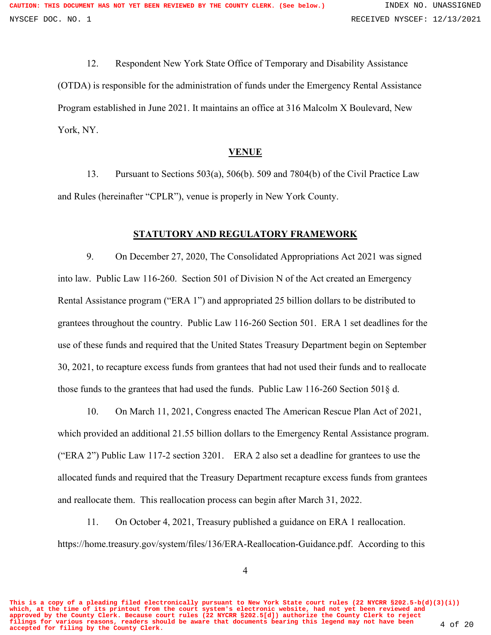12. Respondent New York State Office of Temporary and Disability Assistance (OTDA) is responsible for the administration of funds under the Emergency Rental Assistance Program established in June 2021. It maintains an office at 316 Malcolm X Boulevard, New York, NY.

#### **VENUE**

13. Pursuant to Sections 503(a), 506(b). 509 and 7804(b) of the Civil Practice Law and Rules (hereinafter "CPLR"), venue is properly in New York County.

# **STATUTORY AND REGULATORY FRAMEWORK**

9. On December 27, 2020, The Consolidated Appropriations Act 2021 was signed into law. Public Law 116-260. Section 501 of Division N of the Act created an Emergency Rental Assistance program ("ERA 1") and appropriated 25 billion dollars to be distributed to grantees throughout the country. Public Law 116-260 Section 501. ERA 1 set deadlines for the use of these funds and required that the United States Treasury Department begin on September 30, 2021, to recapture excess funds from grantees that had not used their funds and to reallocate those funds to the grantees that had used the funds. Public Law 116-260 Section 501§ d.

10. On March 11, 2021, Congress enacted The American Rescue Plan Act of 2021, which provided an additional 21.55 billion dollars to the Emergency Rental Assistance program. ("ERA 2") Public Law 117-2 section 3201. ERA 2 also set a deadline for grantees to use the allocated funds and required that the Treasury Department recapture excess funds from grantees and reallocate them. This reallocation process can begin after March 31, 2022.

11. On October 4, 2021, Treasury published a guidance on ERA 1 reallocation. https://home.treasury.gov/system/files/136/ERA-Reallocation-Guidance.pdf. According to this

**This is a copy of a pleading filed electronically pursuant to New York State court rules (22 NYCRR §202.5-b(d)(3)(i)) which, at the time of its printout from the court system's electronic website, had not yet been reviewed and approved by the County Clerk. Because court rules (22 NYCRR §202.5[d]) authorize the County Clerk to reject filings for various reasons, readers should be aware that documents bearing this legend may not have been accepted for filing by the County Clerk.** 4 of 20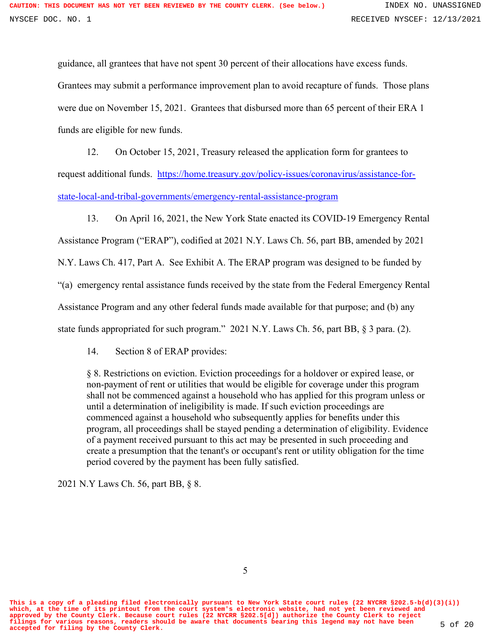guidance, all grantees that have not spent 30 percent of their allocations have excess funds. Grantees may submit a performance improvement plan to avoid recapture of funds. Those plans were due on November 15, 2021. Grantees that disbursed more than 65 percent of their ERA 1 funds are eligible for new funds.

12. On October 15, 2021, Treasury released the application form for grantees to request additional funds. https://home.treasury.gov/policy-issues/coronavirus/assistance-forstate-local-and-tribal-governments/emergency-rental-assistance-program

13. On April 16, 2021, the New York State enacted its COVID-19 Emergency Rental Assistance Program ("ERAP"), codified at 2021 N.Y. Laws Ch. 56, part BB, amended by 2021 N.Y. Laws Ch. 417, Part A. See Exhibit A. The ERAP program was designed to be funded by "(a) emergency rental assistance funds received by the state from the Federal Emergency Rental Assistance Program and any other federal funds made available for that purpose; and (b) any state funds appropriated for such program." 2021 N.Y. Laws Ch. 56, part BB, § 3 para. (2).

14. Section 8 of ERAP provides:

§ 8. Restrictions on eviction. Eviction proceedings for a holdover or expired lease, or non-payment of rent or utilities that would be eligible for coverage under this program shall not be commenced against a household who has applied for this program unless or until a determination of ineligibility is made. If such eviction proceedings are commenced against a household who subsequently applies for benefits under this program, all proceedings shall be stayed pending a determination of eligibility. Evidence of a payment received pursuant to this act may be presented in such proceeding and create a presumption that the tenant's or occupant's rent or utility obligation for the time period covered by the payment has been fully satisfied.

2021 N.Y Laws Ch. 56, part BB, § 8.

**This is a copy of a pleading filed electronically pursuant to New York State court rules (22 NYCRR §202.5-b(d)(3)(i)) which, at the time of its printout from the court system's electronic website, had not yet been reviewed and approved by the County Clerk. Because court rules (22 NYCRR §202.5[d]) authorize the County Clerk to reject filings for various reasons, readers should be aware that documents bearing this legend may not have been accepted for filing by the County Clerk.** 5 of 20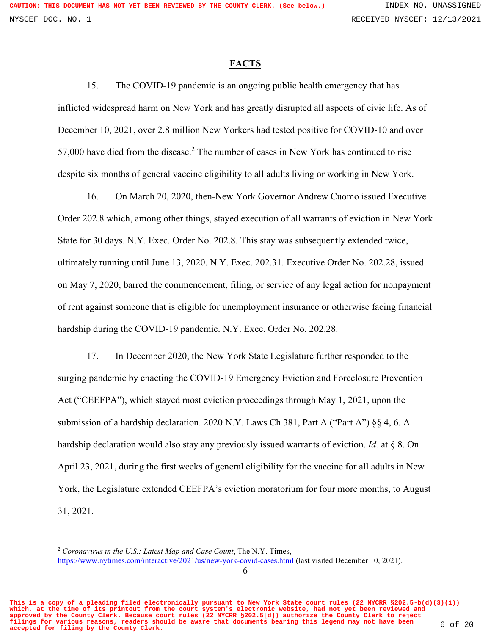#### **FACTS**

15. The COVID-19 pandemic is an ongoing public health emergency that has inflicted widespread harm on New York and has greatly disrupted all aspects of civic life. As of December 10, 2021, over 2.8 million New Yorkers had tested positive for COVID-10 and over 57,000 have died from the disease.<sup>2</sup> The number of cases in New York has continued to rise despite six months of general vaccine eligibility to all adults living or working in New York.

16. On March 20, 2020, then-New York Governor Andrew Cuomo issued Executive Order 202.8 which, among other things, stayed execution of all warrants of eviction in New York State for 30 days. N.Y. Exec. Order No. 202.8. This stay was subsequently extended twice, ultimately running until June 13, 2020. N.Y. Exec. 202.31. Executive Order No. 202.28, issued on May 7, 2020, barred the commencement, filing, or service of any legal action for nonpayment of rent against someone that is eligible for unemployment insurance or otherwise facing financial hardship during the COVID-19 pandemic. N.Y. Exec. Order No. 202.28.

17. In December 2020, the New York State Legislature further responded to the surging pandemic by enacting the COVID-19 Emergency Eviction and Foreclosure Prevention Act ("CEEFPA"), which stayed most eviction proceedings through May 1, 2021, upon the submission of a hardship declaration. 2020 N.Y. Laws Ch 381, Part A ("Part A") §§ 4, 6. A hardship declaration would also stay any previously issued warrants of eviction. *Id.* at § 8. On April 23, 2021, during the first weeks of general eligibility for the vaccine for all adults in New York, the Legislature extended CEEFPA's eviction moratorium for four more months, to August 31, 2021.

<sup>2</sup> *Coronavirus in the U.S.: Latest Map and Case Count*, The N.Y. Times,

**This is a copy of a pleading filed electronically pursuant to New York State court rules (22 NYCRR §202.5-b(d)(3)(i)) which, at the time of its printout from the court system's electronic website, had not yet been reviewed and approved by the County Clerk. Because court rules (22 NYCRR §202.5[d]) authorize the County Clerk to reject filings for various reasons, readers should be aware that documents bearing this legend may not have been accepted for filing by the County Clerk.** 6 of 20

https://www.nytimes.com/interactive/2021/us/new-york-covid-cases.html (last visited December 10, 2021).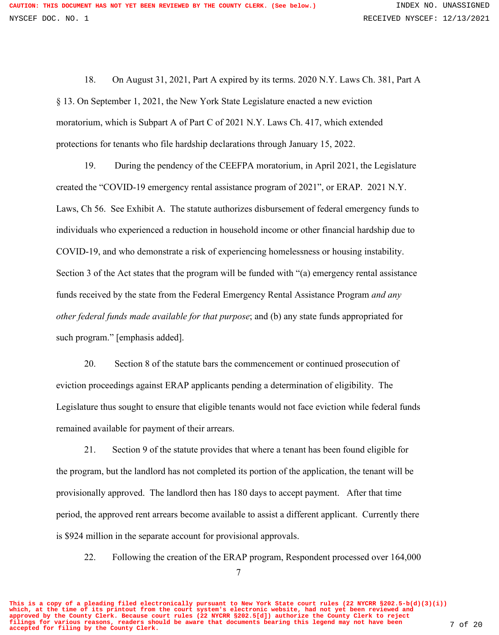18. On August 31, 2021, Part A expired by its terms. 2020 N.Y. Laws Ch. 381, Part A § 13. On September 1, 2021, the New York State Legislature enacted a new eviction moratorium, which is Subpart A of Part C of 2021 N.Y. Laws Ch. 417, which extended protections for tenants who file hardship declarations through January 15, 2022.

19. During the pendency of the CEEFPA moratorium, in April 2021, the Legislature created the "COVID-19 emergency rental assistance program of 2021", or ERAP. 2021 N.Y. Laws, Ch 56. See Exhibit A. The statute authorizes disbursement of federal emergency funds to individuals who experienced a reduction in household income or other financial hardship due to COVID-19, and who demonstrate a risk of experiencing homelessness or housing instability. Section 3 of the Act states that the program will be funded with "(a) emergency rental assistance funds received by the state from the Federal Emergency Rental Assistance Program *and any other federal funds made available for that purpose*; and (b) any state funds appropriated for such program." [emphasis added].

20. Section 8 of the statute bars the commencement or continued prosecution of eviction proceedings against ERAP applicants pending a determination of eligibility. The Legislature thus sought to ensure that eligible tenants would not face eviction while federal funds remained available for payment of their arrears.

21. Section 9 of the statute provides that where a tenant has been found eligible for the program, but the landlord has not completed its portion of the application, the tenant will be provisionally approved. The landlord then has 180 days to accept payment. After that time period, the approved rent arrears become available to assist a different applicant. Currently there is \$924 million in the separate account for provisional approvals.

22. Following the creation of the ERAP program, Respondent processed over 164,000

**This is a copy of a pleading filed electronically pursuant to New York State court rules (22 NYCRR §202.5-b(d)(3)(i)) which, at the time of its printout from the court system's electronic website, had not yet been reviewed and approved by the County Clerk. Because court rules (22 NYCRR §202.5[d]) authorize the County Clerk to reject filings for various reasons, readers should be aware that documents bearing this legend may not have been accepted for filing by the County Clerk.** 7 of 20

<sup>7</sup>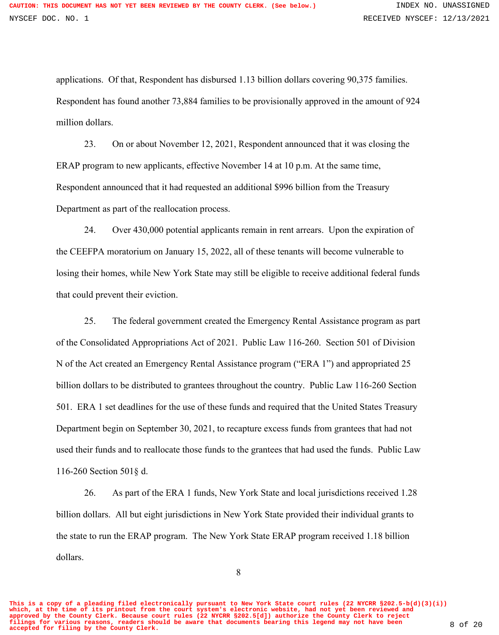applications. Of that, Respondent has disbursed 1.13 billion dollars covering 90,375 families. Respondent has found another 73,884 families to be provisionally approved in the amount of 924 million dollars.

23. On or about November 12, 2021, Respondent announced that it was closing the ERAP program to new applicants, effective November 14 at 10 p.m. At the same time, Respondent announced that it had requested an additional \$996 billion from the Treasury Department as part of the reallocation process.

24. Over 430,000 potential applicants remain in rent arrears. Upon the expiration of the CEEFPA moratorium on January 15, 2022, all of these tenants will become vulnerable to losing their homes, while New York State may still be eligible to receive additional federal funds that could prevent their eviction.

25. The federal government created the Emergency Rental Assistance program as part of the Consolidated Appropriations Act of 2021. Public Law 116-260. Section 501 of Division N of the Act created an Emergency Rental Assistance program ("ERA 1") and appropriated 25 billion dollars to be distributed to grantees throughout the country. Public Law 116-260 Section 501. ERA 1 set deadlines for the use of these funds and required that the United States Treasury Department begin on September 30, 2021, to recapture excess funds from grantees that had not used their funds and to reallocate those funds to the grantees that had used the funds. Public Law 116-260 Section 501§ d.

26. As part of the ERA 1 funds, New York State and local jurisdictions received 1.28 billion dollars. All but eight jurisdictions in New York State provided their individual grants to the state to run the ERAP program. The New York State ERAP program received 1.18 billion dollars.

**This is a copy of a pleading filed electronically pursuant to New York State court rules (22 NYCRR §202.5-b(d)(3)(i)) which, at the time of its printout from the court system's electronic website, had not yet been reviewed and approved by the County Clerk. Because court rules (22 NYCRR §202.5[d]) authorize the County Clerk to reject filings for various reasons, readers should be aware that documents bearing this legend may not have been accepted for filing by the County Clerk.** 8 of 20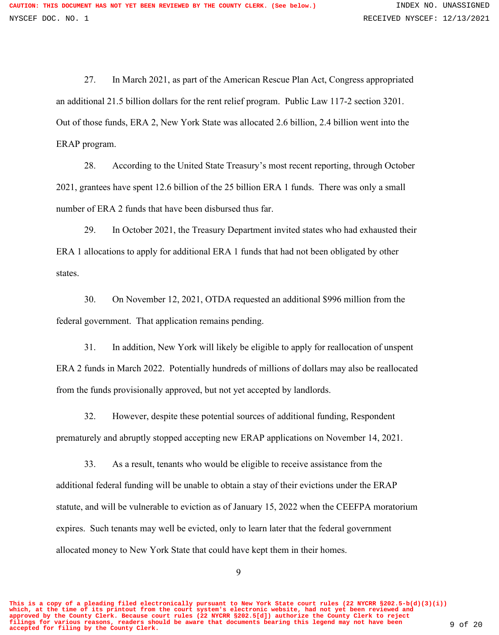27. In March 2021, as part of the American Rescue Plan Act, Congress appropriated an additional 21.5 billion dollars for the rent relief program. Public Law 117-2 section 3201. Out of those funds, ERA 2, New York State was allocated 2.6 billion, 2.4 billion went into the ERAP program.

28. According to the United State Treasury's most recent reporting, through October 2021, grantees have spent 12.6 billion of the 25 billion ERA 1 funds. There was only a small number of ERA 2 funds that have been disbursed thus far.

29. In October 2021, the Treasury Department invited states who had exhausted their ERA 1 allocations to apply for additional ERA 1 funds that had not been obligated by other states.

30. On November 12, 2021, OTDA requested an additional \$996 million from the federal government. That application remains pending.

31. In addition, New York will likely be eligible to apply for reallocation of unspent ERA 2 funds in March 2022. Potentially hundreds of millions of dollars may also be reallocated from the funds provisionally approved, but not yet accepted by landlords.

32. However, despite these potential sources of additional funding, Respondent prematurely and abruptly stopped accepting new ERAP applications on November 14, 2021.

33. As a result, tenants who would be eligible to receive assistance from the additional federal funding will be unable to obtain a stay of their evictions under the ERAP statute, and will be vulnerable to eviction as of January 15, 2022 when the CEEFPA moratorium expires. Such tenants may well be evicted, only to learn later that the federal government allocated money to New York State that could have kept them in their homes.

9

**This is a copy of a pleading filed electronically pursuant to New York State court rules (22 NYCRR §202.5-b(d)(3)(i)) which, at the time of its printout from the court system's electronic website, had not yet been reviewed and approved by the County Clerk. Because court rules (22 NYCRR §202.5[d]) authorize the County Clerk to reject filings for various reasons, readers should be aware that documents bearing this legend may not have been accepted for filing by the County Clerk.** 9 of 20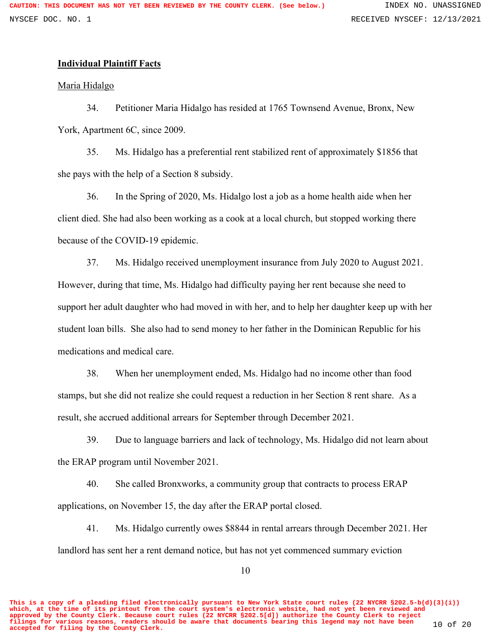# **Individual Plaintiff Facts**

Maria Hidalgo

34. Petitioner Maria Hidalgo has resided at 1765 Townsend Avenue, Bronx, New York, Apartment 6C, since 2009.

35. Ms. Hidalgo has a preferential rent stabilized rent of approximately \$1856 that she pays with the help of a Section 8 subsidy.

36. In the Spring of 2020, Ms. Hidalgo lost a job as a home health aide when her client died. She had also been working as a cook at a local church, but stopped working there because of the COVID-19 epidemic.

37. Ms. Hidalgo received unemployment insurance from July 2020 to August 2021. However, during that time, Ms. Hidalgo had difficulty paying her rent because she need to support her adult daughter who had moved in with her, and to help her daughter keep up with her student loan bills. She also had to send money to her father in the Dominican Republic for his medications and medical care.

38. When her unemployment ended, Ms. Hidalgo had no income other than food stamps, but she did not realize she could request a reduction in her Section 8 rent share. As a result, she accrued additional arrears for September through December 2021.

39. Due to language barriers and lack of technology, Ms. Hidalgo did not learn about the ERAP program until November 2021.

40. She called Bronxworks, a community group that contracts to process ERAP applications, on November 15, the day after the ERAP portal closed.

41. Ms. Hidalgo currently owes \$8844 in rental arrears through December 2021. Her landlord has sent her a rent demand notice, but has not yet commenced summary eviction

**This is a copy of a pleading filed electronically pursuant to New York State court rules (22 NYCRR §202.5-b(d)(3)(i)) which, at the time of its printout from the court system's electronic website, had not yet been reviewed and approved by the County Clerk. Because court rules (22 NYCRR §202.5[d]) authorize the County Clerk to reject filings for various reasons, readers should be aware that documents bearing this legend may not have been accepted for filing by the County Clerk.** 10 of 20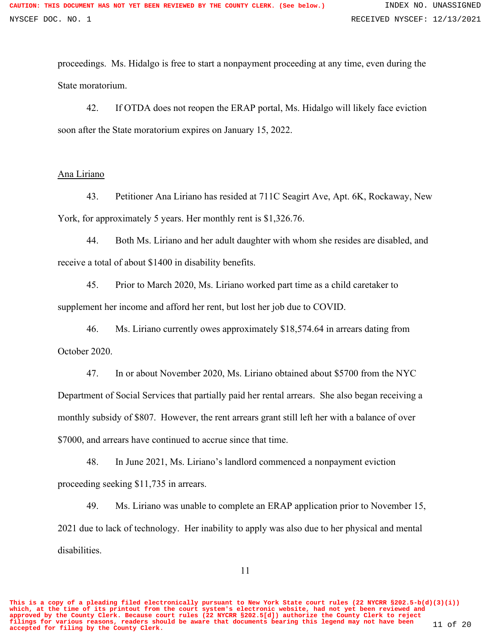proceedings. Ms. Hidalgo is free to start a nonpayment proceeding at any time, even during the State moratorium.

42. If OTDA does not reopen the ERAP portal, Ms. Hidalgo will likely face eviction soon after the State moratorium expires on January 15, 2022.

## Ana Liriano

43. Petitioner Ana Liriano has resided at 711C Seagirt Ave, Apt. 6K, Rockaway, New York, for approximately 5 years. Her monthly rent is \$1,326.76.

44. Both Ms. Liriano and her adult daughter with whom she resides are disabled, and receive a total of about \$1400 in disability benefits.

45. Prior to March 2020, Ms. Liriano worked part time as a child caretaker to supplement her income and afford her rent, but lost her job due to COVID.

46. Ms. Liriano currently owes approximately \$18,574.64 in arrears dating from October 2020.

47. In or about November 2020, Ms. Liriano obtained about \$5700 from the NYC Department of Social Services that partially paid her rental arrears. She also began receiving a monthly subsidy of \$807. However, the rent arrears grant still left her with a balance of over \$7000, and arrears have continued to accrue since that time.

48. In June 2021, Ms. Liriano's landlord commenced a nonpayment eviction proceeding seeking \$11,735 in arrears.

49. Ms. Liriano was unable to complete an ERAP application prior to November 15, 2021 due to lack of technology. Her inability to apply was also due to her physical and mental disabilities.

**This is a copy of a pleading filed electronically pursuant to New York State court rules (22 NYCRR §202.5-b(d)(3)(i)) which, at the time of its printout from the court system's electronic website, had not yet been reviewed and approved by the County Clerk. Because court rules (22 NYCRR §202.5[d]) authorize the County Clerk to reject filings for various reasons, readers should be aware that documents bearing this legend may not have been accepted for filing by the County Clerk.** 11 of 20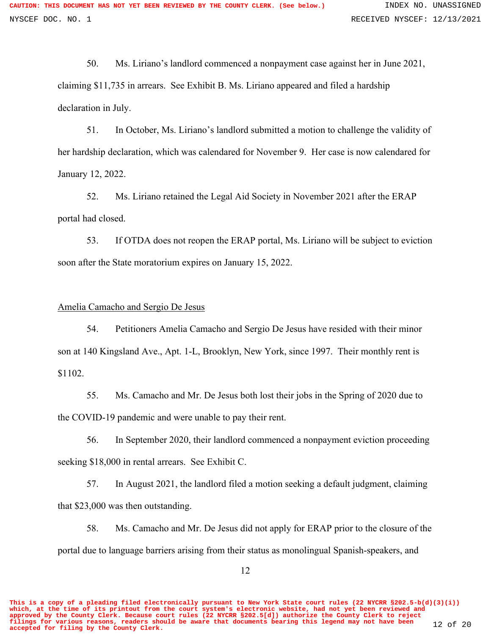50. Ms. Liriano's landlord commenced a nonpayment case against her in June 2021, claiming \$11,735 in arrears. See Exhibit B. Ms. Liriano appeared and filed a hardship declaration in July.

51. In October, Ms. Liriano's landlord submitted a motion to challenge the validity of her hardship declaration, which was calendared for November 9. Her case is now calendared for January 12, 2022.

52. Ms. Liriano retained the Legal Aid Society in November 2021 after the ERAP portal had closed.

53. If OTDA does not reopen the ERAP portal, Ms. Liriano will be subject to eviction soon after the State moratorium expires on January 15, 2022.

### Amelia Camacho and Sergio De Jesus

54. Petitioners Amelia Camacho and Sergio De Jesus have resided with their minor son at 140 Kingsland Ave., Apt. 1-L, Brooklyn, New York, since 1997. Their monthly rent is \$1102.

55. Ms. Camacho and Mr. De Jesus both lost their jobs in the Spring of 2020 due to the COVID-19 pandemic and were unable to pay their rent.

56. In September 2020, their landlord commenced a nonpayment eviction proceeding seeking \$18,000 in rental arrears. See Exhibit C.

57. In August 2021, the landlord filed a motion seeking a default judgment, claiming that \$23,000 was then outstanding.

58. Ms. Camacho and Mr. De Jesus did not apply for ERAP prior to the closure of the portal due to language barriers arising from their status as monolingual Spanish-speakers, and

**This is a copy of a pleading filed electronically pursuant to New York State court rules (22 NYCRR §202.5-b(d)(3)(i)) which, at the time of its printout from the court system's electronic website, had not yet been reviewed and approved by the County Clerk. Because court rules (22 NYCRR §202.5[d]) authorize the County Clerk to reject filings for various reasons, readers should be aware that documents bearing this legend may not have been accepted for filing by the County Clerk.** 12 of 20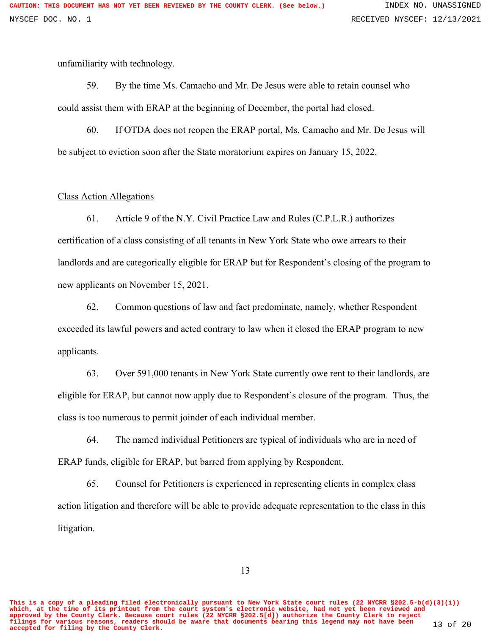unfamiliarity with technology.

59. By the time Ms. Camacho and Mr. De Jesus were able to retain counsel who could assist them with ERAP at the beginning of December, the portal had closed.

60. If OTDA does not reopen the ERAP portal, Ms. Camacho and Mr. De Jesus will be subject to eviction soon after the State moratorium expires on January 15, 2022.

#### Class Action Allegations

61. Article 9 of the N.Y. Civil Practice Law and Rules (C.P.L.R.) authorizes certification of a class consisting of all tenants in New York State who owe arrears to their landlords and are categorically eligible for ERAP but for Respondent's closing of the program to new applicants on November 15, 2021.

62. Common questions of law and fact predominate, namely, whether Respondent exceeded its lawful powers and acted contrary to law when it closed the ERAP program to new applicants.

63. Over 591,000 tenants in New York State currently owe rent to their landlords, are eligible for ERAP, but cannot now apply due to Respondent's closure of the program. Thus, the class is too numerous to permit joinder of each individual member.

64. The named individual Petitioners are typical of individuals who are in need of ERAP funds, eligible for ERAP, but barred from applying by Respondent.

65. Counsel for Petitioners is experienced in representing clients in complex class action litigation and therefore will be able to provide adequate representation to the class in this litigation.

**This is a copy of a pleading filed electronically pursuant to New York State court rules (22 NYCRR §202.5-b(d)(3)(i)) which, at the time of its printout from the court system's electronic website, had not yet been reviewed and approved by the County Clerk. Because court rules (22 NYCRR §202.5[d]) authorize the County Clerk to reject filings for various reasons, readers should be aware that documents bearing this legend may not have been accepted for filing by the County Clerk.** 13 of 20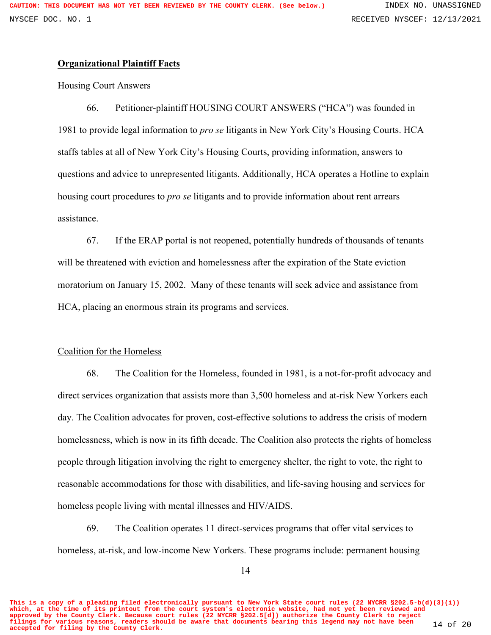# **Organizational Plaintiff Facts**

# Housing Court Answers

66. Petitioner-plaintiff HOUSING COURT ANSWERS ("HCA") was founded in 1981 to provide legal information to *pro se* litigants in New York City's Housing Courts. HCA staffs tables at all of New York City's Housing Courts, providing information, answers to questions and advice to unrepresented litigants. Additionally, HCA operates a Hotline to explain housing court procedures to *pro se* litigants and to provide information about rent arrears assistance.

67. If the ERAP portal is not reopened, potentially hundreds of thousands of tenants will be threatened with eviction and homelessness after the expiration of the State eviction moratorium on January 15, 2002. Many of these tenants will seek advice and assistance from HCA, placing an enormous strain its programs and services.

# Coalition for the Homeless

68. The Coalition for the Homeless, founded in 1981, is a not-for-profit advocacy and direct services organization that assists more than 3,500 homeless and at-risk New Yorkers each day. The Coalition advocates for proven, cost-effective solutions to address the crisis of modern homelessness, which is now in its fifth decade. The Coalition also protects the rights of homeless people through litigation involving the right to emergency shelter, the right to vote, the right to reasonable accommodations for those with disabilities, and life-saving housing and services for homeless people living with mental illnesses and HIV/AIDS.

69. The Coalition operates 11 direct-services programs that offer vital services to homeless, at-risk, and low-income New Yorkers. These programs include: permanent housing

**This is a copy of a pleading filed electronically pursuant to New York State court rules (22 NYCRR §202.5-b(d)(3)(i)) which, at the time of its printout from the court system's electronic website, had not yet been reviewed and approved by the County Clerk. Because court rules (22 NYCRR §202.5[d]) authorize the County Clerk to reject filings for various reasons, readers should be aware that documents bearing this legend may not have been accepted for filing by the County Clerk.** 14 of 20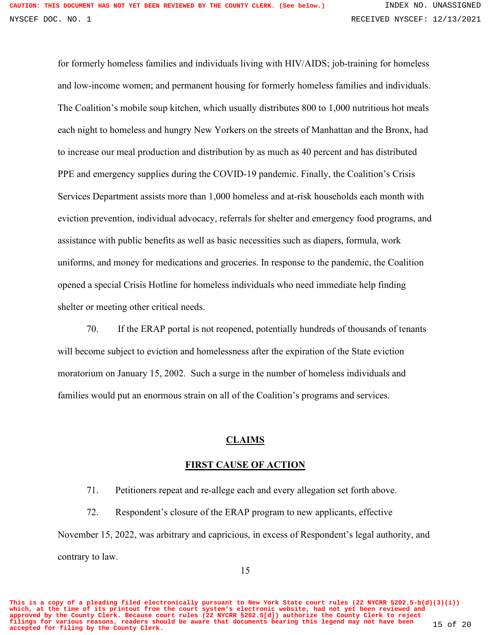for formerly homeless families and individuals living with HIV/AIDS; job-training for homeless and low-income women; and permanent housing for formerly homeless families and individuals. The Coalition's mobile soup kitchen, which usually distributes 800 to 1,000 nutritious hot meals each night to homeless and hungry New Yorkers on the streets of Manhattan and the Bronx, had to increase our meal production and distribution by as much as 40 percent and has distributed PPE and emergency supplies during the COVID-19 pandemic. Finally, the Coalition's Crisis Services Department assists more than 1,000 homeless and at-risk households each month with eviction prevention, individual advocacy, referrals for shelter and emergency food programs, and assistance with public benefits as well as basic necessities such as diapers, formula, work uniforms, and money for medications and groceries. In response to the pandemic, the Coalition opened a special Crisis Hotline for homeless individuals who need immediate help finding shelter or meeting other critical needs.

70. If the ERAP portal is not reopened, potentially hundreds of thousands of tenants will become subject to eviction and homelessness after the expiration of the State eviction moratorium on January 15, 2002. Such a surge in the number of homeless individuals and families would put an enormous strain on all of the Coalition's programs and services.

## **CLAIMS**

# **FIRST CAUSE OF ACTION**

71. Petitioners repeat and re-allege each and every allegation set forth above.

72. Respondent's closure of the ERAP program to new applicants, effective November 15, 2022, was arbitrary and capricious, in excess of Respondent's legal authority, and contrary to law.

**This is a copy of a pleading filed electronically pursuant to New York State court rules (22 NYCRR §202.5-b(d)(3)(i)) which, at the time of its printout from the court system's electronic website, had not yet been reviewed and approved by the County Clerk. Because court rules (22 NYCRR §202.5[d]) authorize the County Clerk to reject filings for various reasons, readers should be aware that documents bearing this legend may not have been accepted for filing by the County Clerk.** 15 of 20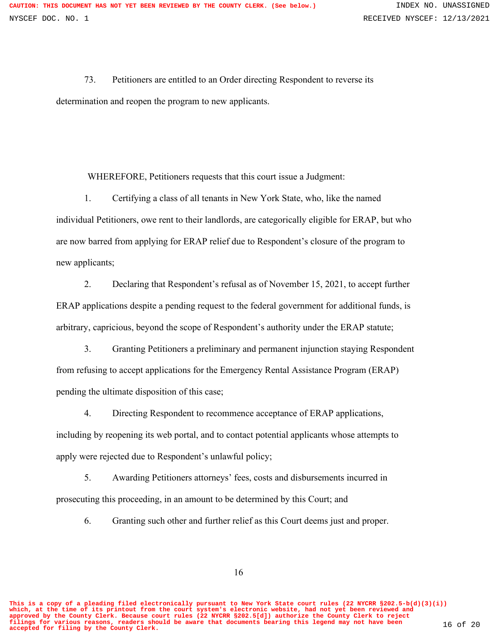73. Petitioners are entitled to an Order directing Respondent to reverse its determination and reopen the program to new applicants.

WHEREFORE, Petitioners requests that this court issue a Judgment:

1. Certifying a class of all tenants in New York State, who, like the named individual Petitioners, owe rent to their landlords, are categorically eligible for ERAP, but who are now barred from applying for ERAP relief due to Respondent's closure of the program to new applicants;

2. Declaring that Respondent's refusal as of November 15, 2021, to accept further ERAP applications despite a pending request to the federal government for additional funds, is arbitrary, capricious, beyond the scope of Respondent's authority under the ERAP statute;

3. Granting Petitioners a preliminary and permanent injunction staying Respondent from refusing to accept applications for the Emergency Rental Assistance Program (ERAP) pending the ultimate disposition of this case;

4. Directing Respondent to recommence acceptance of ERAP applications, including by reopening its web portal, and to contact potential applicants whose attempts to apply were rejected due to Respondent's unlawful policy;

5. Awarding Petitioners attorneys' fees, costs and disbursements incurred in prosecuting this proceeding, in an amount to be determined by this Court; and

6. Granting such other and further relief as this Court deems just and proper.

16

**This is a copy of a pleading filed electronically pursuant to New York State court rules (22 NYCRR §202.5-b(d)(3)(i)) which, at the time of its printout from the court system's electronic website, had not yet been reviewed and approved by the County Clerk. Because court rules (22 NYCRR §202.5[d]) authorize the County Clerk to reject filings for various reasons, readers should be aware that documents bearing this legend may not have been accepted for filing by the County Clerk.** 16 of 20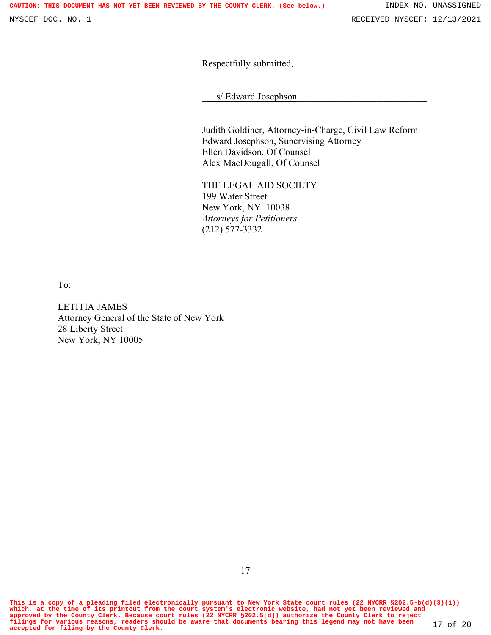Respectfully submitted,

s/ Edward Josephson

Judith Goldiner, Attorney-in-Charge, Civil Law Reform Edward Josephson, Supervising Attorney Ellen Davidson, Of Counsel Alex MacDougall, Of Counsel

THE LEGAL AID SOCIETY 199 Water Street New York, NY. 10038 *Attorneys for Petitioners*  (212) 577-3332

To:

LETITIA JAMES Attorney General of the State of New York 28 Liberty Street New York, NY 10005

**This is a copy of a pleading filed electronically pursuant to New York State court rules (22 NYCRR §202.5-b(d)(3)(i)) which, at the time of its printout from the court system's electronic website, had not yet been reviewed and** approved by the County Clerk. Because court rules (22 NYCRR §202.5[d]) authorize the County Clerk to reject<br>filings for various reasons, readers should be aware that documents bearing this legend may not have been 17 of 20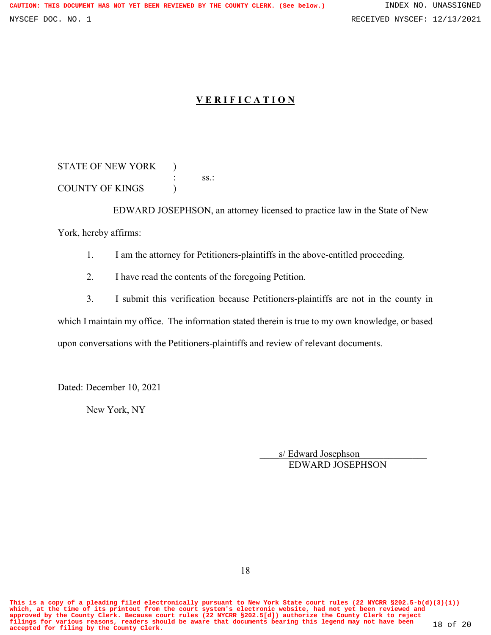# **V E R I F I C A T I O N**

STATE OF NEW YORK ) : ss.: COUNTY OF KINGS (

 EDWARD JOSEPHSON, an attorney licensed to practice law in the State of New York, hereby affirms:

1. I am the attorney for Petitioners-plaintiffs in the above-entitled proceeding.

2. I have read the contents of the foregoing Petition.

3. I submit this verification because Petitioners-plaintiffs are not in the county in which I maintain my office. The information stated therein is true to my own knowledge, or based upon conversations with the Petitioners-plaintiffs and review of relevant documents.

Dated: December 10, 2021

New York, NY

s/ Edward Josephson EDWARD JOSEPHSON

**This is a copy of a pleading filed electronically pursuant to New York State court rules (22 NYCRR §202.5-b(d)(3)(i)) which, at the time of its printout from the court system's electronic website, had not yet been reviewed and** approved by the County Clerk. Because court rules (22 NYCRR §202.5[d]) authorize the County Clerk to reject<br>filings for various reasons, readers should be aware that documents bearing this legend may not have been 18 of 20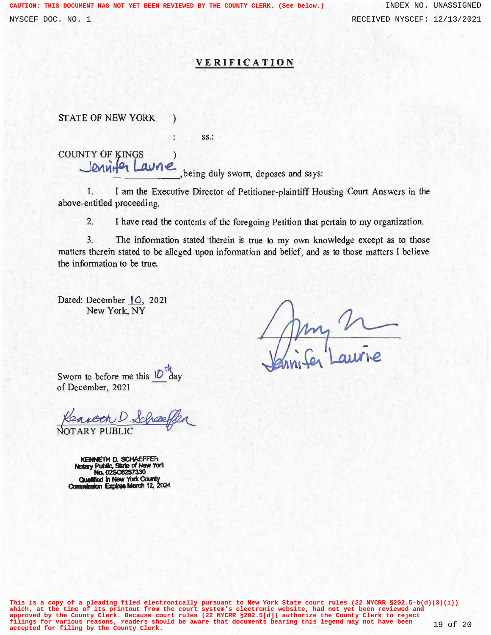### **VERIFICATION**

STATE OF NEW YORK )

ss.:

COUNTY OF KINGS ) Jennit<sup>o</sup> Laune, being duly sworn, deposes and says:

1. I am the Executive Director of Petitioner-plaintiff Housing Court Answers in the above-entitled proceeding.

2. I have read the contents of the foregoing Petition that pertain to my organization.

3. The information stated therein is true to my own knowledge except as to those matters therein stated to be alleged upon information and belief, and as to those matters I believe the information to be true.

Dated: December [0, 2021 New York, NY

my V

Sworn to before me this  $10^{\circ}$ of December, 2021

Kearcon D. Schoeften NOTARY PUBLiC

**Notary Public, State of New York KENNETH D. SCHAEFFER Quellfied No. 02\$08257330 in New York County Commission Eqplree March 12, 2024** ' '

**This is a copy of a pleading filed electronically pursuant to New York State court rules (22 NYCRR §202.5-b(d)(3)(i)) which, at the time of its printout from the court system's electronic website, had not yet been reviewed and** approved by the County Clerk. Because court rules (22 NYCRR §202.5[d]) authorize the County Clerk to reject<br>filings for various reasons, readers should be aware that documents bearing this legend may not have been 19 of 20